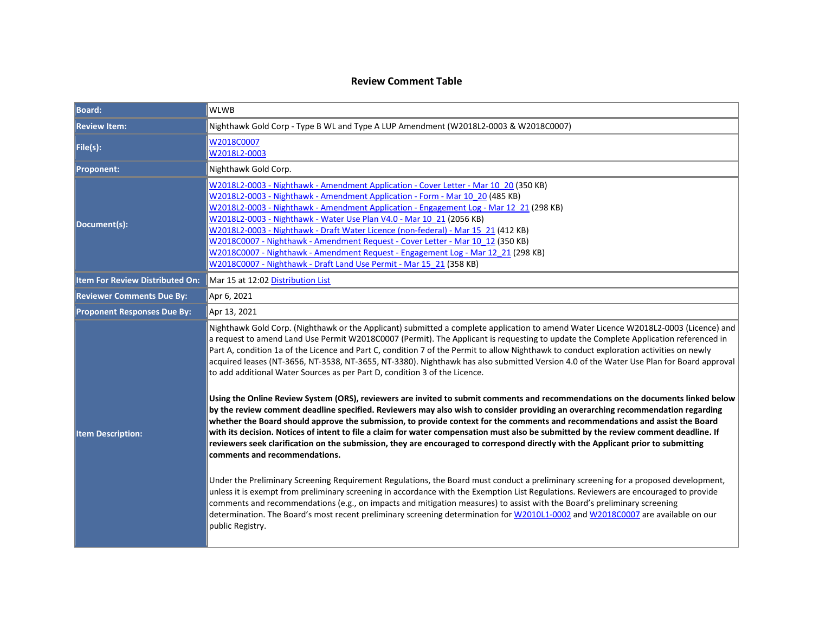#### **Review Comment Table**

| <b>Board:</b>                          | <b>WLWB</b>                                                                                                                                                                                                                                                                                                                                                                                                                                                                                                                                                                                                                                                                                                                                                                                                                                                                                                                                                                                                                                                                                                                                                                                                                                                                                                                                                                                                                                                                                                                                                                                                                                                                                                                                                                                                                                                                                                                                |  |
|----------------------------------------|--------------------------------------------------------------------------------------------------------------------------------------------------------------------------------------------------------------------------------------------------------------------------------------------------------------------------------------------------------------------------------------------------------------------------------------------------------------------------------------------------------------------------------------------------------------------------------------------------------------------------------------------------------------------------------------------------------------------------------------------------------------------------------------------------------------------------------------------------------------------------------------------------------------------------------------------------------------------------------------------------------------------------------------------------------------------------------------------------------------------------------------------------------------------------------------------------------------------------------------------------------------------------------------------------------------------------------------------------------------------------------------------------------------------------------------------------------------------------------------------------------------------------------------------------------------------------------------------------------------------------------------------------------------------------------------------------------------------------------------------------------------------------------------------------------------------------------------------------------------------------------------------------------------------------------------------|--|
| <b>Review Item:</b>                    | Nighthawk Gold Corp - Type B WL and Type A LUP Amendment (W2018L2-0003 & W2018C0007)                                                                                                                                                                                                                                                                                                                                                                                                                                                                                                                                                                                                                                                                                                                                                                                                                                                                                                                                                                                                                                                                                                                                                                                                                                                                                                                                                                                                                                                                                                                                                                                                                                                                                                                                                                                                                                                       |  |
| File(s):                               | W2018C0007<br>W2018L2-0003                                                                                                                                                                                                                                                                                                                                                                                                                                                                                                                                                                                                                                                                                                                                                                                                                                                                                                                                                                                                                                                                                                                                                                                                                                                                                                                                                                                                                                                                                                                                                                                                                                                                                                                                                                                                                                                                                                                 |  |
| <b>Proponent:</b>                      | Nighthawk Gold Corp.                                                                                                                                                                                                                                                                                                                                                                                                                                                                                                                                                                                                                                                                                                                                                                                                                                                                                                                                                                                                                                                                                                                                                                                                                                                                                                                                                                                                                                                                                                                                                                                                                                                                                                                                                                                                                                                                                                                       |  |
| Document(s):                           | W2018L2-0003 - Nighthawk - Amendment Application - Cover Letter - Mar 10 20 (350 KB)<br>W2018L2-0003 - Nighthawk - Amendment Application - Form - Mar 10 20 (485 KB)<br>W2018L2-0003 - Nighthawk - Amendment Application - Engagement Log - Mar 12 21 (298 KB)<br>W2018L2-0003 - Nighthawk - Water Use Plan V4.0 - Mar 10 21 (2056 KB)<br>W2018L2-0003 - Nighthawk - Draft Water Licence (non-federal) - Mar 15 21 (412 KB)<br>W2018C0007 - Nighthawk - Amendment Request - Cover Letter - Mar 10 12 (350 KB)<br>W2018C0007 - Nighthawk - Amendment Request - Engagement Log - Mar 12 21 (298 KB)<br>W2018C0007 - Nighthawk - Draft Land Use Permit - Mar 15 21 (358 KB)                                                                                                                                                                                                                                                                                                                                                                                                                                                                                                                                                                                                                                                                                                                                                                                                                                                                                                                                                                                                                                                                                                                                                                                                                                                                   |  |
| <b>Item For Review Distributed On:</b> | Mar 15 at 12:02 Distribution List                                                                                                                                                                                                                                                                                                                                                                                                                                                                                                                                                                                                                                                                                                                                                                                                                                                                                                                                                                                                                                                                                                                                                                                                                                                                                                                                                                                                                                                                                                                                                                                                                                                                                                                                                                                                                                                                                                          |  |
| <b>Reviewer Comments Due By:</b>       | Apr 6, 2021                                                                                                                                                                                                                                                                                                                                                                                                                                                                                                                                                                                                                                                                                                                                                                                                                                                                                                                                                                                                                                                                                                                                                                                                                                                                                                                                                                                                                                                                                                                                                                                                                                                                                                                                                                                                                                                                                                                                |  |
| <b>Proponent Responses Due By:</b>     | Apr 13, 2021                                                                                                                                                                                                                                                                                                                                                                                                                                                                                                                                                                                                                                                                                                                                                                                                                                                                                                                                                                                                                                                                                                                                                                                                                                                                                                                                                                                                                                                                                                                                                                                                                                                                                                                                                                                                                                                                                                                               |  |
| <b>Item Description:</b>               | Nighthawk Gold Corp. (Nighthawk or the Applicant) submitted a complete application to amend Water Licence W2018L2-0003 (Licence) and<br>a request to amend Land Use Permit W2018C0007 (Permit). The Applicant is requesting to update the Complete Application referenced in<br>Part A, condition 1a of the Licence and Part C, condition 7 of the Permit to allow Nighthawk to conduct exploration activities on newly<br>acquired leases (NT-3656, NT-3538, NT-3655, NT-3380). Nighthawk has also submitted Version 4.0 of the Water Use Plan for Board approval<br>to add additional Water Sources as per Part D, condition 3 of the Licence.<br>Using the Online Review System (ORS), reviewers are invited to submit comments and recommendations on the documents linked below<br>by the review comment deadline specified. Reviewers may also wish to consider providing an overarching recommendation regarding<br>whether the Board should approve the submission, to provide context for the comments and recommendations and assist the Board<br>with its decision. Notices of intent to file a claim for water compensation must also be submitted by the review comment deadline. If<br>reviewers seek clarification on the submission, they are encouraged to correspond directly with the Applicant prior to submitting<br>comments and recommendations.<br>Under the Preliminary Screening Requirement Regulations, the Board must conduct a preliminary screening for a proposed development,<br>unless it is exempt from preliminary screening in accordance with the Exemption List Regulations. Reviewers are encouraged to provide<br>comments and recommendations (e.g., on impacts and mitigation measures) to assist with the Board's preliminary screening<br>determination. The Board's most recent preliminary screening determination for W2010L1-0002 and W2018C0007 are available on our<br>public Registry. |  |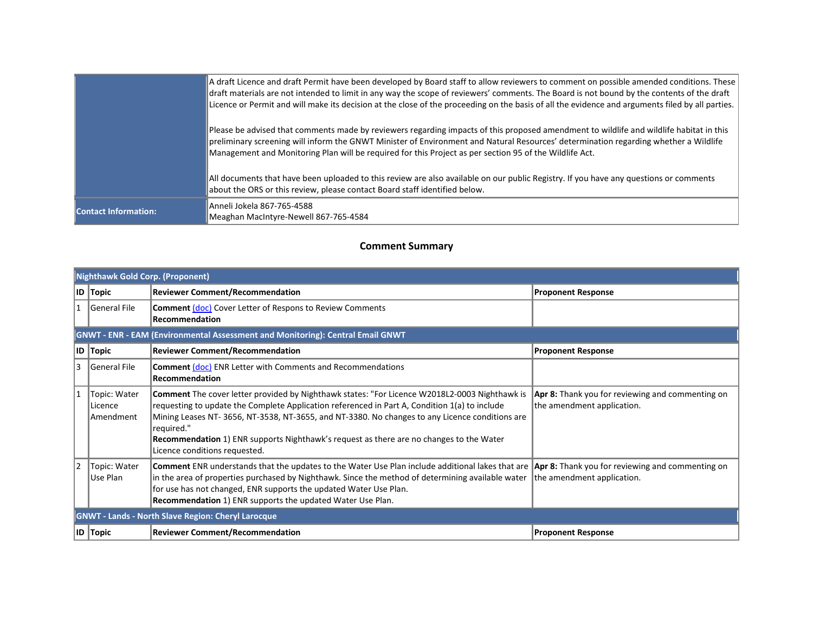|                             | A draft Licence and draft Permit have been developed by Board staff to allow reviewers to comment on possible amended conditions. These<br>draft materials are not intended to limit in any way the scope of reviewers' comments. The Board is not bound by the contents of the draft<br>Licence or Permit and will make its decision at the close of the proceeding on the basis of all the evidence and arguments filed by all parties. |
|-----------------------------|-------------------------------------------------------------------------------------------------------------------------------------------------------------------------------------------------------------------------------------------------------------------------------------------------------------------------------------------------------------------------------------------------------------------------------------------|
|                             | Please be advised that comments made by reviewers regarding impacts of this proposed amendment to wildlife and wildlife habitat in this<br>preliminary screening will inform the GNWT Minister of Environment and Natural Resources' determination regarding whether a Wildlife<br>Management and Monitoring Plan will be required for this Project as per section 95 of the Wildlife Act.                                                |
|                             | All documents that have been uploaded to this review are also available on our public Registry. If you have any questions or comments<br>about the ORS or this review, please contact Board staff identified below.                                                                                                                                                                                                                       |
| <b>Contact Information:</b> | Anneli Jokela 867-765-4588<br>Meaghan MacIntyre-Newell 867-765-4584                                                                                                                                                                                                                                                                                                                                                                       |

#### **Comment Summary**

| <b>Nighthawk Gold Corp. (Proponent)</b>                                        |                                      |                                                                                                                                                                                                                                                                                                                                                                                                                                                   |                                                                                |  |
|--------------------------------------------------------------------------------|--------------------------------------|---------------------------------------------------------------------------------------------------------------------------------------------------------------------------------------------------------------------------------------------------------------------------------------------------------------------------------------------------------------------------------------------------------------------------------------------------|--------------------------------------------------------------------------------|--|
|                                                                                | <b>ID Topic</b>                      | <b>Reviewer Comment/Recommendation</b>                                                                                                                                                                                                                                                                                                                                                                                                            | <b>Proponent Response</b>                                                      |  |
|                                                                                | General File                         | <b>Comment (doc)</b> Cover Letter of Respons to Review Comments<br>Recommendation                                                                                                                                                                                                                                                                                                                                                                 |                                                                                |  |
| GNWT - ENR - EAM (Environmental Assessment and Monitoring): Central Email GNWT |                                      |                                                                                                                                                                                                                                                                                                                                                                                                                                                   |                                                                                |  |
|                                                                                | <b>ID Topic</b>                      | <b>Reviewer Comment/Recommendation</b>                                                                                                                                                                                                                                                                                                                                                                                                            | <b>Proponent Response</b>                                                      |  |
| 13                                                                             | General File                         | <b>Comment (doc)</b> ENR Letter with Comments and Recommendations<br><b>Recommendation</b>                                                                                                                                                                                                                                                                                                                                                        |                                                                                |  |
|                                                                                | Topic: Water<br>Licence<br>Amendment | Comment The cover letter provided by Nighthawk states: "For Licence W2018L2-0003 Nighthawk is<br>requesting to update the Complete Application referenced in Part A, Condition 1(a) to include<br>Mining Leases NT-3656, NT-3538, NT-3655, and NT-3380. No changes to any Licence conditions are<br>required."<br><b>Recommendation</b> 1) ENR supports Nighthawk's request as there are no changes to the Water<br>Licence conditions requested. | Apr 8: Thank you for reviewing and commenting on<br>the amendment application. |  |
| 12                                                                             | Topic: Water<br>Use Plan             | <b>Comment</b> ENR understands that the updates to the Water Use Plan include additional lakes that are <b>Apr 8:</b> Thank you for reviewing and commenting on<br>in the area of properties purchased by Nighthawk. Since the method of determining available water<br>for use has not changed, ENR supports the updated Water Use Plan.<br>Recommendation 1) ENR supports the updated Water Use Plan.                                           | the amendment application.                                                     |  |
| <b>GNWT - Lands - North Slave Region: Cheryl Larocque</b>                      |                                      |                                                                                                                                                                                                                                                                                                                                                                                                                                                   |                                                                                |  |
|                                                                                | <b>ID Topic</b>                      | <b>Reviewer Comment/Recommendation</b>                                                                                                                                                                                                                                                                                                                                                                                                            | <b>Proponent Response</b>                                                      |  |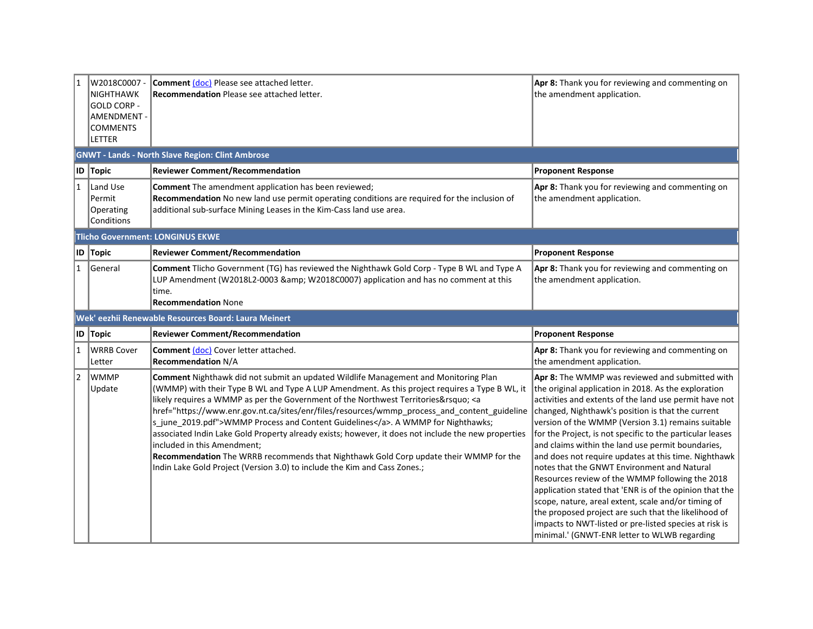| 1              | W2018C0007-<br><b>NIGHTHAWK</b><br><b>GOLD CORP -</b><br><b>AMENDMENT -</b><br><b>COMMENTS</b><br>LETTER | Comment (doc) Please see attached letter.<br><b>Recommendation Please see attached letter.</b>                                                                                                                              | Apr 8: Thank you for reviewing and commenting on<br>the amendment application.                          |  |  |  |
|----------------|----------------------------------------------------------------------------------------------------------|-----------------------------------------------------------------------------------------------------------------------------------------------------------------------------------------------------------------------------|---------------------------------------------------------------------------------------------------------|--|--|--|
|                | <b>GNWT - Lands - North Slave Region: Clint Ambrose</b>                                                  |                                                                                                                                                                                                                             |                                                                                                         |  |  |  |
|                | ID Topic                                                                                                 | <b>Reviewer Comment/Recommendation</b>                                                                                                                                                                                      | <b>Proponent Response</b>                                                                               |  |  |  |
| $\overline{1}$ | Land Use<br>Permit<br>Operating<br>Conditions                                                            | Comment The amendment application has been reviewed;<br>Recommendation No new land use permit operating conditions are required for the inclusion of<br>additional sub-surface Mining Leases in the Kim-Cass land use area. | Apr 8: Thank you for reviewing and commenting on<br>the amendment application.                          |  |  |  |
|                |                                                                                                          | <b>Tlicho Government: LONGINUS EKWE</b>                                                                                                                                                                                     |                                                                                                         |  |  |  |
|                | ID Topic                                                                                                 | <b>Reviewer Comment/Recommendation</b>                                                                                                                                                                                      | <b>Proponent Response</b>                                                                               |  |  |  |
| $\mathbf{1}$   | <b>General</b>                                                                                           | Comment Tlicho Government (TG) has reviewed the Nighthawk Gold Corp - Type B WL and Type A<br>LUP Amendment (W2018L2-0003 & W2018C0007) application and has no comment at this<br>time.<br><b>Recommendation None</b>       | Apr 8: Thank you for reviewing and commenting on<br>the amendment application.                          |  |  |  |
|                |                                                                                                          | Wek' eezhii Renewable Resources Board: Laura Meinert                                                                                                                                                                        |                                                                                                         |  |  |  |
|                | ID Topic                                                                                                 | <b>Reviewer Comment/Recommendation</b>                                                                                                                                                                                      | <b>Proponent Response</b>                                                                               |  |  |  |
| $\overline{1}$ | WRRB Cover<br>Letter                                                                                     | <b>Comment (doc)</b> Cover letter attached.<br><b>Recommendation N/A</b>                                                                                                                                                    | Apr 8: Thank you for reviewing and commenting on<br>the amendment application.                          |  |  |  |
| 2              | <b>WMMP</b><br>Update                                                                                    | Comment Nighthawk did not submit an updated Wildlife Management and Monitoring Plan<br>(WMMP) with their Type B WL and Type A LUP Amendment. As this project requires a Type B WL, it                                       | Apr 8: The WMMP was reviewed and submitted with<br>the original application in 2018. As the exploration |  |  |  |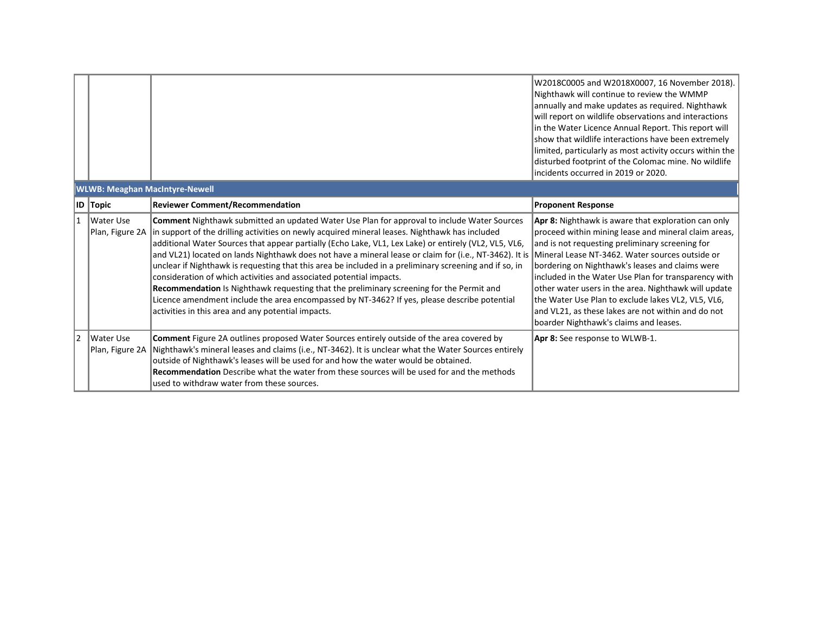W2018C0005 and W2018X0007, 16 November 2018). Nighthawk will continue to review the WMMP annually and make updates as required. Nighthawk will report on wildlife observations and interactions in the Water Licence Annual Report. This report will show that wildlife interactions have been extremely limited, particularly as most activity occurs within the disturbed footprint of the Colomac mine. No wildlife incidents occurred in 2019 or 2020.

| <b>WLWB: Meaghan MacIntyre-Newell</b> |                                |                                                                                                                                                                                                                                                                                                                                                                                                                                                                                                                                                                                                                                                                                                                                                                                                                                                                                                                        |                                                                                                                                                                                                                                                                                                                                                                                                                                                                                         |  |
|---------------------------------------|--------------------------------|------------------------------------------------------------------------------------------------------------------------------------------------------------------------------------------------------------------------------------------------------------------------------------------------------------------------------------------------------------------------------------------------------------------------------------------------------------------------------------------------------------------------------------------------------------------------------------------------------------------------------------------------------------------------------------------------------------------------------------------------------------------------------------------------------------------------------------------------------------------------------------------------------------------------|-----------------------------------------------------------------------------------------------------------------------------------------------------------------------------------------------------------------------------------------------------------------------------------------------------------------------------------------------------------------------------------------------------------------------------------------------------------------------------------------|--|
|                                       | <b>ID</b> Topic                | <b>Reviewer Comment/Recommendation</b>                                                                                                                                                                                                                                                                                                                                                                                                                                                                                                                                                                                                                                                                                                                                                                                                                                                                                 | <b>Proponent Response</b>                                                                                                                                                                                                                                                                                                                                                                                                                                                               |  |
| 1                                     | l Water Use                    | Comment Nighthawk submitted an updated Water Use Plan for approval to include Water Sources<br>Plan, Figure 2A   in support of the drilling activities on newly acquired mineral leases. Nighthawk has included<br>additional Water Sources that appear partially (Echo Lake, VL1, Lex Lake) or entirely (VL2, VL5, VL6,<br>and VL21) located on lands Nighthawk does not have a mineral lease or claim for (i.e., NT-3462). It is  Mineral Lease NT-3462. Water sources outside or<br>unclear if Nighthawk is requesting that this area be included in a preliminary screening and if so, in<br>consideration of which activities and associated potential impacts.<br>Recommendation Is Nighthawk requesting that the preliminary screening for the Permit and<br>Licence amendment include the area encompassed by NT-3462? If yes, please describe potential<br>activities in this area and any potential impacts. | Apr 8: Nighthawk is aware that exploration can only<br>proceed within mining lease and mineral claim areas,<br>and is not requesting preliminary screening for<br>bordering on Nighthawk's leases and claims were<br>included in the Water Use Plan for transparency with<br>other water users in the area. Nighthawk will update<br>the Water Use Plan to exclude lakes VL2, VL5, VL6,<br>and VL21, as these lakes are not within and do not<br>boarder Nighthawk's claims and leases. |  |
| 12                                    | l Water Use<br>Plan, Figure 2A | <b>Comment</b> Figure 2A outlines proposed Water Sources entirely outside of the area covered by<br>Nighthawk's mineral leases and claims (i.e., NT-3462). It is unclear what the Water Sources entirely<br>outside of Nighthawk's leases will be used for and how the water would be obtained.<br><b>Recommendation</b> Describe what the water from these sources will be used for and the methods<br>lused to withdraw water from these sources.                                                                                                                                                                                                                                                                                                                                                                                                                                                                    | Apr 8: See response to WLWB-1.                                                                                                                                                                                                                                                                                                                                                                                                                                                          |  |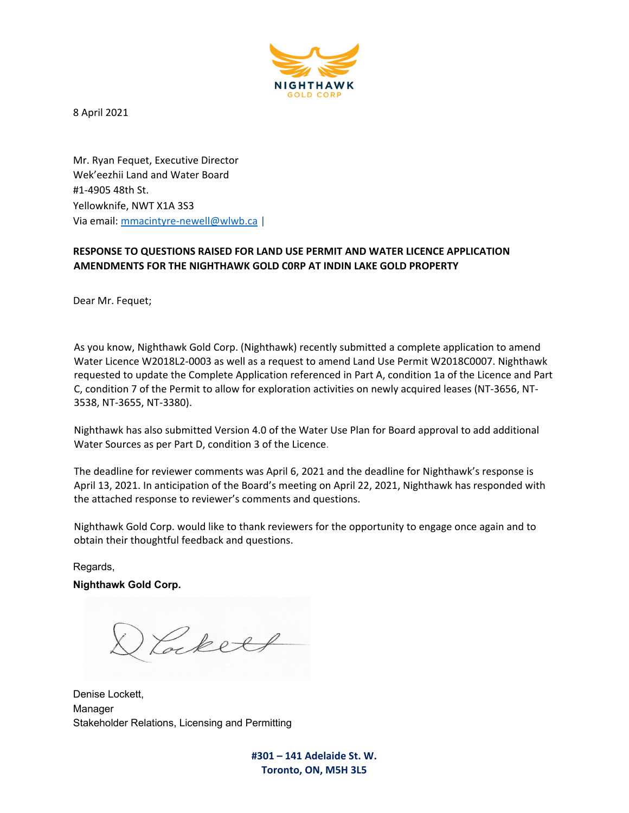

8 April 2021

Mr. Ryan Fequet, Executive Director Wek'eezhii Land and Water Board #1-4905 48th St. Yellowknife, NWT X1A 3S3 Via email: mmacintyre-newell@wlwb.ca |

#### **RESPONSE TO QUESTIONS RAISED FOR LAND USE PERMIT AND WATER LICENCE APPLICATION AMENDMENTS FOR THE NIGHTHAWK GOLD C0RP AT INDIN LAKE GOLD PROPERTY**

Dear Mr. Fequet;

As you know, Nighthawk Gold Corp. (Nighthawk) recently submitted a complete application to amend Water Licence W2018L2-0003 as well as a request to amend Land Use Permit W2018C0007. Nighthawk requested to update the Complete Application referenced in Part A, condition 1a of the Licence and Part C, condition 7 of the Permit to allow for exploration activities on newly acquired leases (NT-3656, NT-3538, NT-3655, NT-3380).

Nighthawk has also submitted Version 4.0 of the Water Use Plan for Board approval to add additional Water Sources as per Part D, condition 3 of the Licence.

The deadline for reviewer comments was April 6, 2021 and the deadline for Nighthawk's response is April 13, 2021. In anticipation of the Board's meeting on April 22, 2021, Nighthawk has responded with the attached response to reviewer's comments and questions.

Nighthawk Gold Corp. would like to thank reviewers for the opportunity to engage once again and to obtain their thoughtful feedback and questions.

Regards, **Nighthawk Gold Corp.** 

Lockett

Denise Lockett, Manager Stakeholder Relations, Licensing and Permitting

**#301 – 141 Adelaide St. W. Toronto, ON, M5H 3L5**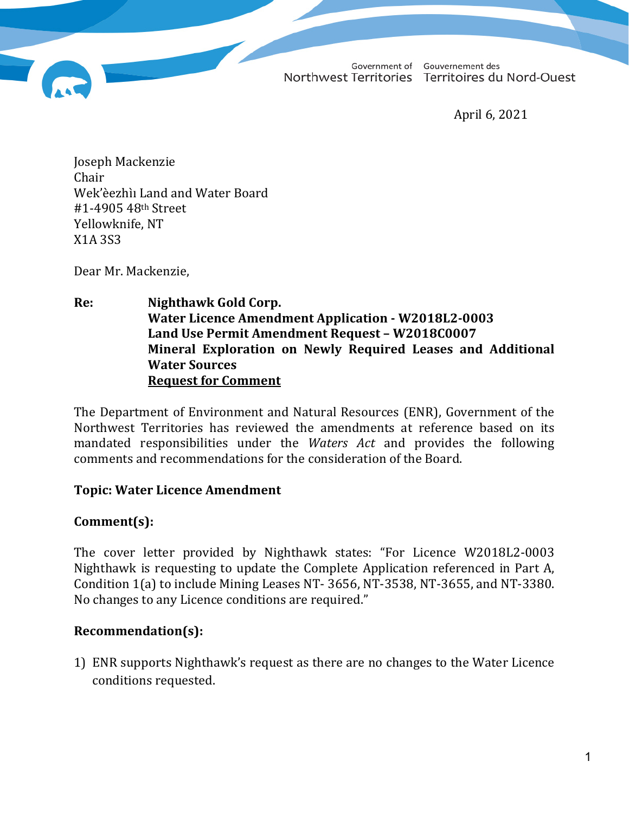Government of Gouvernement des Northwest Territories Territoires du Nord-Ouest

April 6, 2021

Joseph Mackenzie Chair Wek'èezhìı Land and Water Board #1-4905 48th Street Yellowknife, NT X1A 3S3

Dear Mr. Mackenzie,

**Re: Nighthawk Gold Corp. Water Licence Amendment Application - W2018L2-0003 Land Use Permit Amendment Request – W2018C0007 Mineral Exploration on Newly Required Leases and Additional Water Sources Request for Comment**

The Department of Environment and Natural Resources (ENR), Government of the Northwest Territories has reviewed the amendments at reference based on its mandated responsibilities under the *Waters Act* and provides the following comments and recommendations for the consideration of the Board.

## **Topic: Water Licence Amendment**

## **Comment(s):**

The cover letter provided by Nighthawk states: "For Licence W2018L2-0003 Nighthawk is requesting to update the Complete Application referenced in Part A, Condition 1(a) to include Mining Leases NT- 3656, NT-3538, NT-3655, and NT-3380. No changes to any Licence conditions are required."

## **Recommendation(s):**

1) ENR supports Nighthawk's request as there are no changes to the Water Licence conditions requested.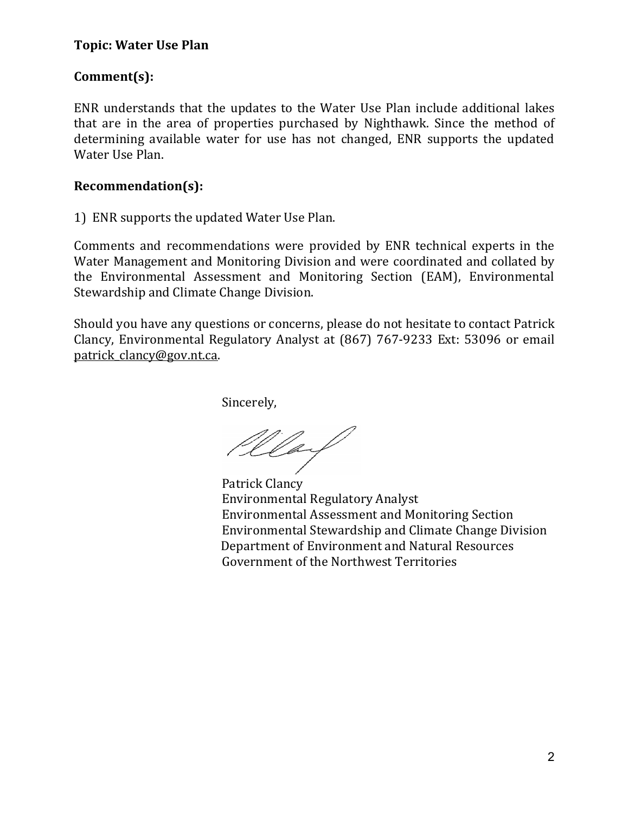# **Comment(s):**

ENR understands that the updates to the Water Use Plan include additional lakes that are in the area of properties purchased by Nighthawk. Since the method of determining available water for use has not changed, ENR supports the updated Water Use Plan.

## **Recommendation(s):**

1) ENR supports the updated Water Use Plan.

Comments and recommendations were provided by ENR technical experts in the Water Management and Monitoring Division and were coordinated and collated by the Environmental Assessment and Monitoring Section (EAM), Environmental Stewardship and Climate Change Division.

Should you have any questions or concerns, please do not hesitate to contact Patrick Clancy, Environmental Regulatory Analyst at (867) 767-9233 Ext: 53096 or email [patrick\\_clancy@gov.nt.ca](mailto:patrick_clancy@gov.nt.ca).

Sincerely,

Way

Patrick Clancy Environmental Regulatory Analyst Environmental Assessment and Monitoring Section Environmental Stewardship and Climate Change Division Department of Environment and Natural Resources Government of the Northwest Territories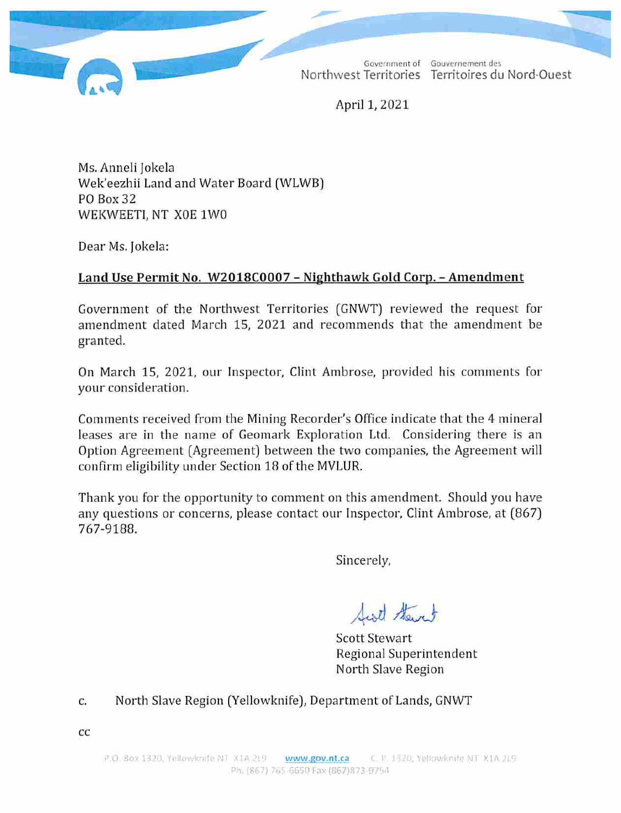Government of Gouvernement des Northwest Territories Territoires du Nord-Ouest

April 1, 2021

Ms. Anneli Jokela Wek'eezhii Land and Water Board (WLWB) PO Box 32 WEKWEETI, NT X0E 1W0

Dear Ms. Jokela:

# Land Use Permit No. W2018C0007 - Nighthawk Gold Corp. - Amendment

Government of the Northwest Territories (GNWT) reviewed the request for amendment dated March 15, 2021 and recommends that the amendment be granted.

On March 15, 2021, our Inspector, Clint Ambrose, provided his comments for your consideration.

Comments received from the Mining Recorder's Office indicate that the 4 mineral leases are in the name of Geomark Exploration Ltd. Considering there is an Option Agreement (Agreement) between the two companies, the Agreement will confirm eligibility under Section 18 of the MVLUR.

Thank you for the opportunity to comment on this amendment. Should you have any questions or concerns, please contact our Inspector, Clint Ambrose, at (867) 767-9188.

Sincerely,

Sirt Stewart

**Scott Stewart** Regional Superintendent North Slave Region

North Slave Region (Yellowknife), Department of Lands, GNWT c.

 $cc$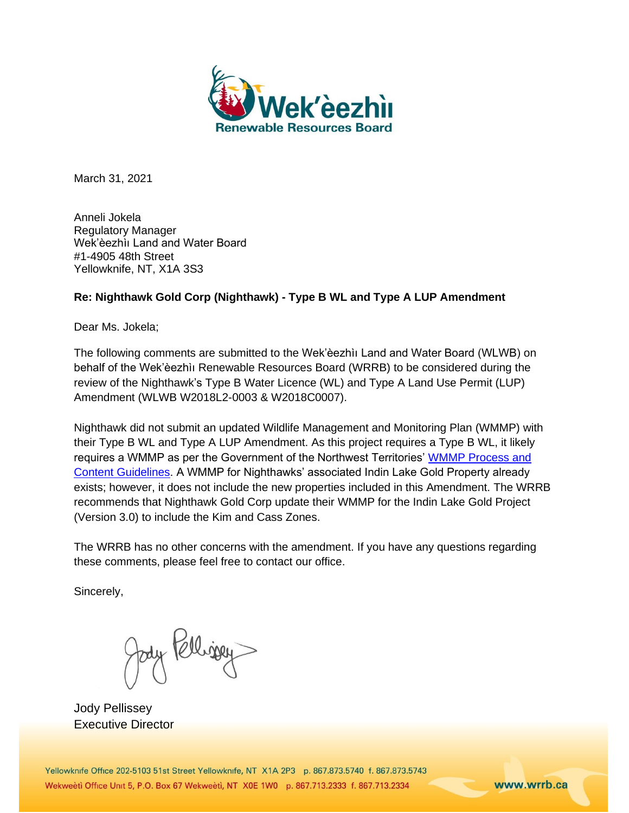

March 31, 2021

Anneli Jokela Regulatory Manager Wek'èezhìı Land and Water Board #1-4905 48th Street Yellowknife, NT, X1A 3S3

#### **Re: Nighthawk Gold Corp (Nighthawk) - Type B WL and Type A LUP Amendment**

Dear Ms. Jokela;

The following comments are submitted to the Wek'èezhìı Land and Water Board (WLWB) on behalf of the Wek'èezhìı Renewable Resources Board (WRRB) to be considered during the review of the Nighthawk's Type B Water Licence (WL) and Type A Land Use Permit (LUP) Amendment (WLWB W2018L2-0003 & W2018C0007).

Nighthawk did not submit an updated Wildlife Management and Monitoring Plan (WMMP) with their Type B WL and Type A LUP Amendment. As this project requires a Type B WL, it likely requires a WMMP as per the Government of the Northwest Territories' [WMMP Process and](https://www.enr.gov.nt.ca/sites/enr/files/resources/wmmp_process_and_content_guidelines_june_2019.pdf)  [Content Guidelines.](https://www.enr.gov.nt.ca/sites/enr/files/resources/wmmp_process_and_content_guidelines_june_2019.pdf) A WMMP for Nighthawks' associated Indin Lake Gold Property already exists; however, it does not include the new properties included in this Amendment. The WRRB recommends that Nighthawk Gold Corp update their WMMP for the Indin Lake Gold Project (Version 3.0) to include the Kim and Cass Zones.

The WRRB has no other concerns with the amendment. If you have any questions regarding these comments, please feel free to contact our office.

Sincerely,

Jody Religion

Jody Pellissey Executive Director

Yellowknife Office 202-5103 51st Street Yellowknife, NT X1A 2P3 p. 867.873.5740 f. 867.873.5743 Wekweeti Office Unit 5, P.O. Box 67 Wekweeti, NT X0E 1W0 p. 867.713.2333 f. 867.713.2334

www.wrrb.ca